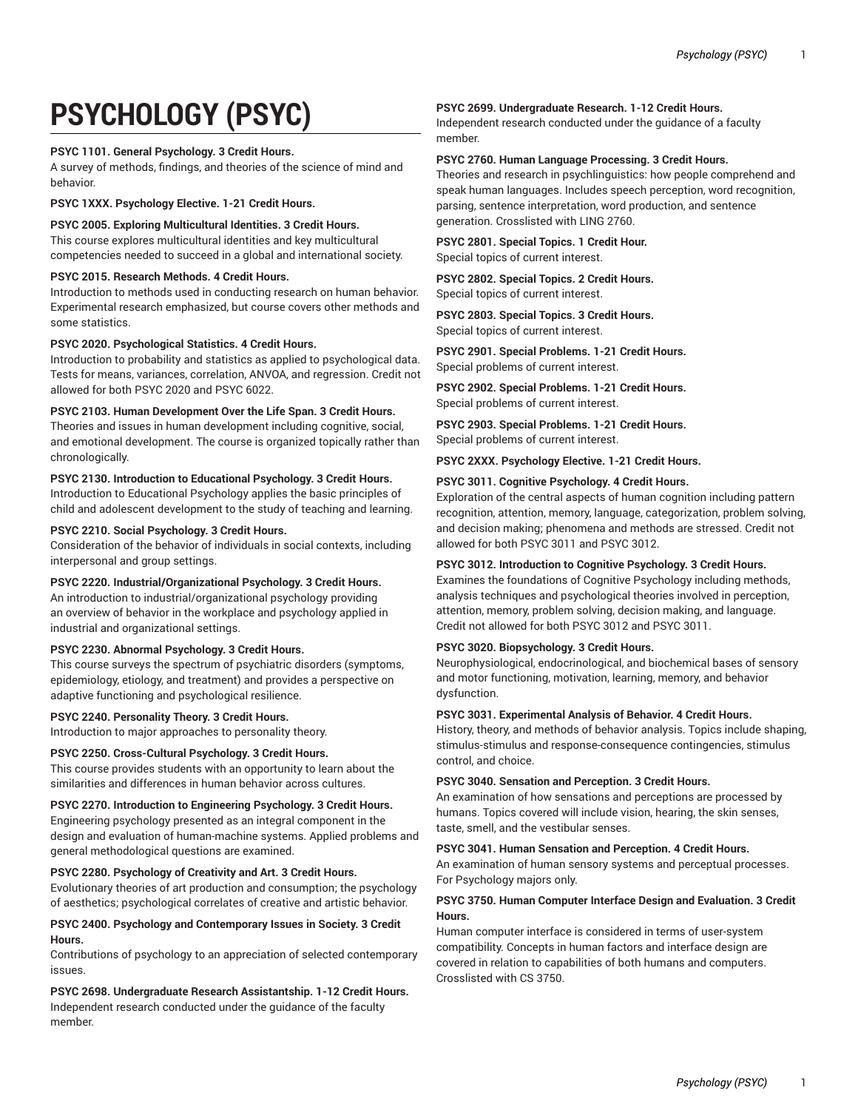# **PSYCHOLOGY (PSYC)**

# **PSYC 1101. General Psychology. 3 Credit Hours.**

A survey of methods, findings, and theories of the science of mind and behavior.

**PSYC 1XXX. Psychology Elective. 1-21 Credit Hours.**

**PSYC 2005. Exploring Multicultural Identities. 3 Credit Hours.** This course explores multicultural identities and key multicultural competencies needed to succeed in a global and international society.

# **PSYC 2015. Research Methods. 4 Credit Hours.**

Introduction to methods used in conducting research on human behavior. Experimental research emphasized, but course covers other methods and some statistics.

# **PSYC 2020. Psychological Statistics. 4 Credit Hours.**

Introduction to probability and statistics as applied to psychological data. Tests for means, variances, correlation, ANVOA, and regression. Credit not allowed for both PSYC 2020 and PSYC 6022.

# **PSYC 2103. Human Development Over the Life Span. 3 Credit Hours.**

Theories and issues in human development including cognitive, social, and emotional development. The course is organized topically rather than chronologically.

# **PSYC 2130. Introduction to Educational Psychology. 3 Credit Hours.**

Introduction to Educational Psychology applies the basic principles of child and adolescent development to the study of teaching and learning.

# **PSYC 2210. Social Psychology. 3 Credit Hours.**

Consideration of the behavior of individuals in social contexts, including interpersonal and group settings.

# **PSYC 2220. Industrial/Organizational Psychology. 3 Credit Hours.**

An introduction to industrial/organizational psychology providing an overview of behavior in the workplace and psychology applied in industrial and organizational settings.

# **PSYC 2230. Abnormal Psychology. 3 Credit Hours.**

This course surveys the spectrum of psychiatric disorders (symptoms, epidemiology, etiology, and treatment) and provides a perspective on adaptive functioning and psychological resilience.

# **PSYC 2240. Personality Theory. 3 Credit Hours.**

Introduction to major approaches to personality theory.

# **PSYC 2250. Cross-Cultural Psychology. 3 Credit Hours.**

This course provides students with an opportunity to learn about the similarities and differences in human behavior across cultures.

# **PSYC 2270. Introduction to Engineering Psychology. 3 Credit Hours.**

Engineering psychology presented as an integral component in the design and evaluation of human-machine systems. Applied problems and general methodological questions are examined.

# **PSYC 2280. Psychology of Creativity and Art. 3 Credit Hours.**

Evolutionary theories of art production and consumption; the psychology of aesthetics; psychological correlates of creative and artistic behavior.

# **PSYC 2400. Psychology and Contemporary Issues in Society. 3 Credit Hours.**

Contributions of psychology to an appreciation of selected contemporary issues.

# **PSYC 2698. Undergraduate Research Assistantship. 1-12 Credit Hours.** Independent research conducted under the guidance of the faculty member.

# **PSYC 2699. Undergraduate Research. 1-12 Credit Hours.**

Independent research conducted under the guidance of a faculty member.

# **PSYC 2760. Human Language Processing. 3 Credit Hours.**

Theories and research in psychlinguistics: how people comprehend and speak human languages. Includes speech perception, word recognition, parsing, sentence interpretation, word production, and sentence generation. Crosslisted with LING 2760.

# **PSYC 2801. Special Topics. 1 Credit Hour.**

Special topics of current interest.

# **PSYC 2802. Special Topics. 2 Credit Hours.**

Special topics of current interest.

**PSYC 2803. Special Topics. 3 Credit Hours.** Special topics of current interest.

**PSYC 2901. Special Problems. 1-21 Credit Hours.**

Special problems of current interest.

**PSYC 2902. Special Problems. 1-21 Credit Hours.** Special problems of current interest.

**PSYC 2903. Special Problems. 1-21 Credit Hours.** Special problems of current interest.

#### **PSYC 2XXX. Psychology Elective. 1-21 Credit Hours.**

# **PSYC 3011. Cognitive Psychology. 4 Credit Hours.**

Exploration of the central aspects of human cognition including pattern recognition, attention, memory, language, categorization, problem solving, and decision making; phenomena and methods are stressed. Credit not allowed for both PSYC 3011 and PSYC 3012.

#### **PSYC 3012. Introduction to Cognitive Psychology. 3 Credit Hours.**

Examines the foundations of Cognitive Psychology including methods, analysis techniques and psychological theories involved in perception, attention, memory, problem solving, decision making, and language. Credit not allowed for both PSYC 3012 and PSYC 3011.

# **PSYC 3020. Biopsychology. 3 Credit Hours.**

Neurophysiological, endocrinological, and biochemical bases of sensory and motor functioning, motivation, learning, memory, and behavior dysfunction.

#### **PSYC 3031. Experimental Analysis of Behavior. 4 Credit Hours.**

History, theory, and methods of behavior analysis. Topics include shaping, stimulus-stimulus and response-consequence contingencies, stimulus control, and choice.

# **PSYC 3040. Sensation and Perception. 3 Credit Hours.**

An examination of how sensations and perceptions are processed by humans. Topics covered will include vision, hearing, the skin senses, taste, smell, and the vestibular senses.

#### **PSYC 3041. Human Sensation and Perception. 4 Credit Hours.**

An examination of human sensory systems and perceptual processes. For Psychology majors only.

# **PSYC 3750. Human Computer Interface Design and Evaluation. 3 Credit Hours.**

Human computer interface is considered in terms of user-system compatibility. Concepts in human factors and interface design are covered in relation to capabilities of both humans and computers. Crosslisted with CS 3750.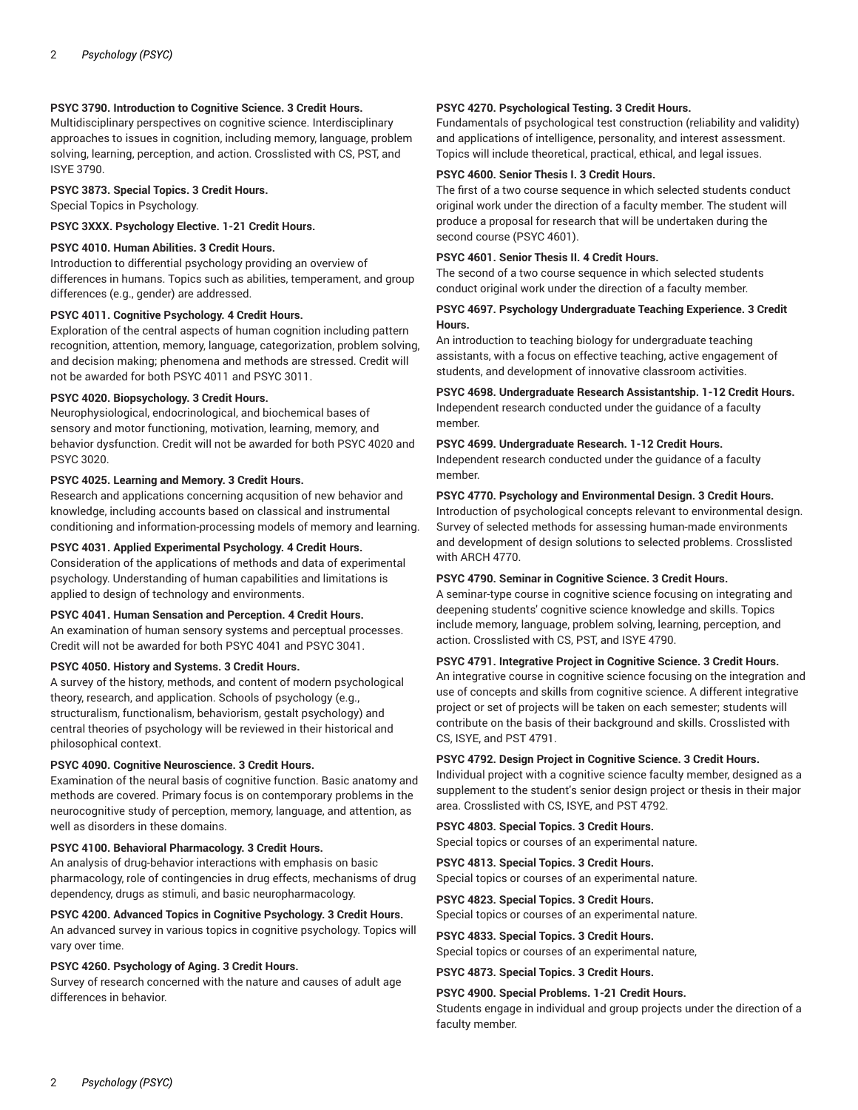# **PSYC 3790. Introduction to Cognitive Science. 3 Credit Hours.**

Multidisciplinary perspectives on cognitive science. Interdisciplinary approaches to issues in cognition, including memory, language, problem solving, learning, perception, and action. Crosslisted with CS, PST, and ISYE 3790.

#### **PSYC 3873. Special Topics. 3 Credit Hours.**

Special Topics in Psychology.

**PSYC 3XXX. Psychology Elective. 1-21 Credit Hours.**

# **PSYC 4010. Human Abilities. 3 Credit Hours.**

Introduction to differential psychology providing an overview of differences in humans. Topics such as abilities, temperament, and group differences (e.g., gender) are addressed.

# **PSYC 4011. Cognitive Psychology. 4 Credit Hours.**

Exploration of the central aspects of human cognition including pattern recognition, attention, memory, language, categorization, problem solving, and decision making; phenomena and methods are stressed. Credit will not be awarded for both PSYC 4011 and PSYC 3011.

#### **PSYC 4020. Biopsychology. 3 Credit Hours.**

Neurophysiological, endocrinological, and biochemical bases of sensory and motor functioning, motivation, learning, memory, and behavior dysfunction. Credit will not be awarded for both PSYC 4020 and PSYC 3020.

#### **PSYC 4025. Learning and Memory. 3 Credit Hours.**

Research and applications concerning acqusition of new behavior and knowledge, including accounts based on classical and instrumental conditioning and information-processing models of memory and learning.

#### **PSYC 4031. Applied Experimental Psychology. 4 Credit Hours.**

Consideration of the applications of methods and data of experimental psychology. Understanding of human capabilities and limitations is applied to design of technology and environments.

# **PSYC 4041. Human Sensation and Perception. 4 Credit Hours.**

An examination of human sensory systems and perceptual processes. Credit will not be awarded for both PSYC 4041 and PSYC 3041.

#### **PSYC 4050. History and Systems. 3 Credit Hours.**

A survey of the history, methods, and content of modern psychological theory, research, and application. Schools of psychology (e.g., structuralism, functionalism, behaviorism, gestalt psychology) and central theories of psychology will be reviewed in their historical and philosophical context.

#### **PSYC 4090. Cognitive Neuroscience. 3 Credit Hours.**

Examination of the neural basis of cognitive function. Basic anatomy and methods are covered. Primary focus is on contemporary problems in the neurocognitive study of perception, memory, language, and attention, as well as disorders in these domains.

#### **PSYC 4100. Behavioral Pharmacology. 3 Credit Hours.**

An analysis of drug-behavior interactions with emphasis on basic pharmacology, role of contingencies in drug effects, mechanisms of drug dependency, drugs as stimuli, and basic neuropharmacology.

#### **PSYC 4200. Advanced Topics in Cognitive Psychology. 3 Credit Hours.**

An advanced survey in various topics in cognitive psychology. Topics will vary over time.

#### **PSYC 4260. Psychology of Aging. 3 Credit Hours.**

Survey of research concerned with the nature and causes of adult age differences in behavior.

## **PSYC 4270. Psychological Testing. 3 Credit Hours.**

Fundamentals of psychological test construction (reliability and validity) and applications of intelligence, personality, and interest assessment. Topics will include theoretical, practical, ethical, and legal issues.

#### **PSYC 4600. Senior Thesis I. 3 Credit Hours.**

The first of a two course sequence in which selected students conduct original work under the direction of a faculty member. The student will produce a proposal for research that will be undertaken during the second course (PSYC 4601).

#### **PSYC 4601. Senior Thesis II. 4 Credit Hours.**

The second of a two course sequence in which selected students conduct original work under the direction of a faculty member.

## **PSYC 4697. Psychology Undergraduate Teaching Experience. 3 Credit Hours.**

An introduction to teaching biology for undergraduate teaching assistants, with a focus on effective teaching, active engagement of students, and development of innovative classroom activities.

**PSYC 4698. Undergraduate Research Assistantship. 1-12 Credit Hours.** Independent research conducted under the guidance of a faculty member.

#### **PSYC 4699. Undergraduate Research. 1-12 Credit Hours.**

Independent research conducted under the guidance of a faculty member.

#### **PSYC 4770. Psychology and Environmental Design. 3 Credit Hours.**

Introduction of psychological concepts relevant to environmental design. Survey of selected methods for assessing human-made environments and development of design solutions to selected problems. Crosslisted with ARCH 4770.

# **PSYC 4790. Seminar in Cognitive Science. 3 Credit Hours.**

A seminar-type course in cognitive science focusing on integrating and deepening students' cognitive science knowledge and skills. Topics include memory, language, problem solving, learning, perception, and action. Crosslisted with CS, PST, and ISYE 4790.

#### **PSYC 4791. Integrative Project in Cognitive Science. 3 Credit Hours.**

An integrative course in cognitive science focusing on the integration and use of concepts and skills from cognitive science. A different integrative project or set of projects will be taken on each semester; students will contribute on the basis of their background and skills. Crosslisted with CS, ISYE, and PST 4791.

#### **PSYC 4792. Design Project in Cognitive Science. 3 Credit Hours.**

Individual project with a cognitive science faculty member, designed as a supplement to the student's senior design project or thesis in their major area. Crosslisted with CS, ISYE, and PST 4792.

# **PSYC 4803. Special Topics. 3 Credit Hours.**

Special topics or courses of an experimental nature.

# **PSYC 4813. Special Topics. 3 Credit Hours.**

Special topics or courses of an experimental nature.

#### **PSYC 4823. Special Topics. 3 Credit Hours.** Special topics or courses of an experimental nature.

**PSYC 4833. Special Topics. 3 Credit Hours.**

# Special topics or courses of an experimental nature,

**PSYC 4873. Special Topics. 3 Credit Hours.**

#### **PSYC 4900. Special Problems. 1-21 Credit Hours.**

Students engage in individual and group projects under the direction of a faculty member.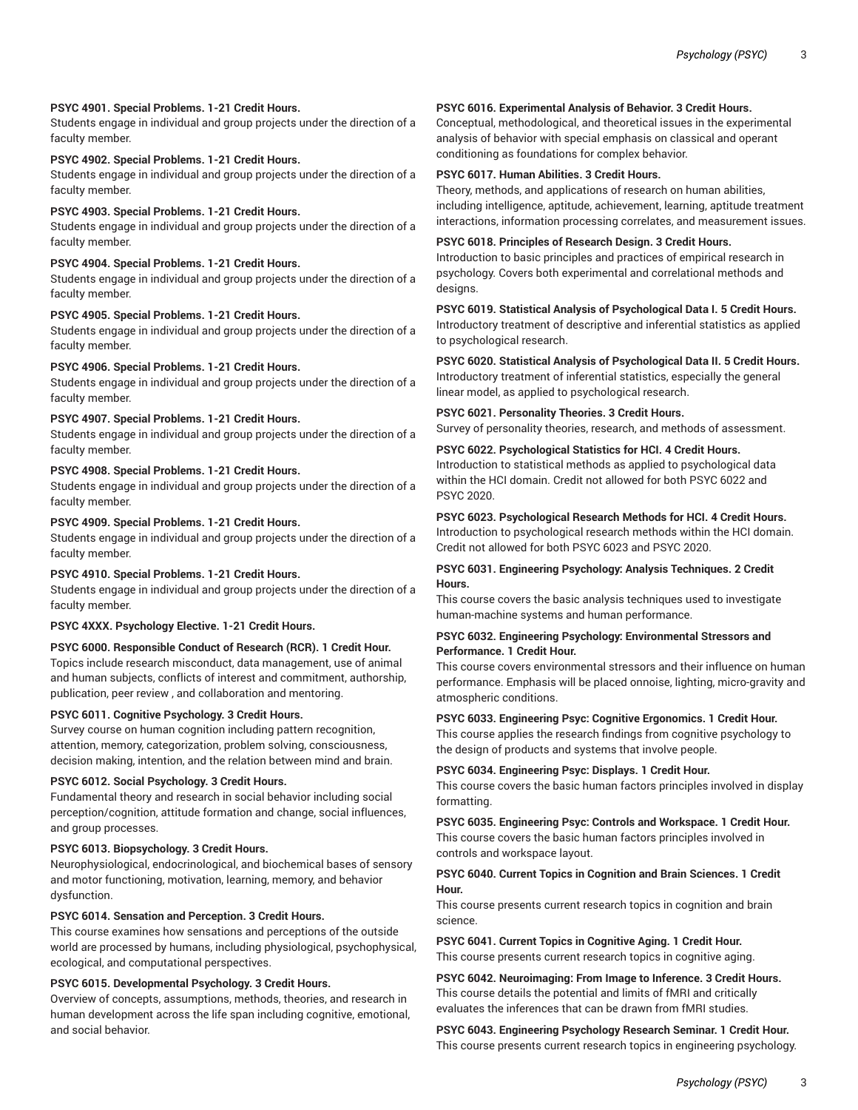# **PSYC 4901. Special Problems. 1-21 Credit Hours.**

Students engage in individual and group projects under the direction of a faculty member.

#### **PSYC 4902. Special Problems. 1-21 Credit Hours.**

Students engage in individual and group projects under the direction of a faculty member.

# **PSYC 4903. Special Problems. 1-21 Credit Hours.**

Students engage in individual and group projects under the direction of a faculty member.

# **PSYC 4904. Special Problems. 1-21 Credit Hours.**

Students engage in individual and group projects under the direction of a faculty member.

# **PSYC 4905. Special Problems. 1-21 Credit Hours.**

Students engage in individual and group projects under the direction of a faculty member.

#### **PSYC 4906. Special Problems. 1-21 Credit Hours.**

Students engage in individual and group projects under the direction of a faculty member.

# **PSYC 4907. Special Problems. 1-21 Credit Hours.**

Students engage in individual and group projects under the direction of a faculty member.

# **PSYC 4908. Special Problems. 1-21 Credit Hours.**

Students engage in individual and group projects under the direction of a faculty member.

# **PSYC 4909. Special Problems. 1-21 Credit Hours.**

Students engage in individual and group projects under the direction of a faculty member.

#### **PSYC 4910. Special Problems. 1-21 Credit Hours.**

Students engage in individual and group projects under the direction of a faculty member.

#### **PSYC 4XXX. Psychology Elective. 1-21 Credit Hours.**

# **PSYC 6000. Responsible Conduct of Research (RCR). 1 Credit Hour.**

Topics include research misconduct, data management, use of animal and human subjects, conflicts of interest and commitment, authorship, publication, peer review , and collaboration and mentoring.

# **PSYC 6011. Cognitive Psychology. 3 Credit Hours.**

Survey course on human cognition including pattern recognition, attention, memory, categorization, problem solving, consciousness, decision making, intention, and the relation between mind and brain.

#### **PSYC 6012. Social Psychology. 3 Credit Hours.**

Fundamental theory and research in social behavior including social perception/cognition, attitude formation and change, social influences, and group processes.

#### **PSYC 6013. Biopsychology. 3 Credit Hours.**

Neurophysiological, endocrinological, and biochemical bases of sensory and motor functioning, motivation, learning, memory, and behavior dysfunction.

#### **PSYC 6014. Sensation and Perception. 3 Credit Hours.**

This course examines how sensations and perceptions of the outside world are processed by humans, including physiological, psychophysical, ecological, and computational perspectives.

#### **PSYC 6015. Developmental Psychology. 3 Credit Hours.**

Overview of concepts, assumptions, methods, theories, and research in human development across the life span including cognitive, emotional, and social behavior.

# **PSYC 6016. Experimental Analysis of Behavior. 3 Credit Hours.**

Conceptual, methodological, and theoretical issues in the experimental analysis of behavior with special emphasis on classical and operant conditioning as foundations for complex behavior.

#### **PSYC 6017. Human Abilities. 3 Credit Hours.**

Theory, methods, and applications of research on human abilities, including intelligence, aptitude, achievement, learning, aptitude treatment interactions, information processing correlates, and measurement issues.

# **PSYC 6018. Principles of Research Design. 3 Credit Hours.**

Introduction to basic principles and practices of empirical research in psychology. Covers both experimental and correlational methods and designs.

**PSYC 6019. Statistical Analysis of Psychological Data I. 5 Credit Hours.** Introductory treatment of descriptive and inferential statistics as applied to psychological research.

**PSYC 6020. Statistical Analysis of Psychological Data II. 5 Credit Hours.** Introductory treatment of inferential statistics, especially the general linear model, as applied to psychological research.

**PSYC 6021. Personality Theories. 3 Credit Hours.** Survey of personality theories, research, and methods of assessment.

#### **PSYC 6022. Psychological Statistics for HCI. 4 Credit Hours.** Introduction to statistical methods as applied to psychological data within the HCI domain. Credit not allowed for both PSYC 6022 and PSYC 2020.

**PSYC 6023. Psychological Research Methods for HCI. 4 Credit Hours.** Introduction to psychological research methods within the HCI domain. Credit not allowed for both PSYC 6023 and PSYC 2020.

# **PSYC 6031. Engineering Psychology: Analysis Techniques. 2 Credit Hours.**

This course covers the basic analysis techniques used to investigate human-machine systems and human performance.

# **PSYC 6032. Engineering Psychology: Environmental Stressors and Performance. 1 Credit Hour.**

This course covers environmental stressors and their influence on human performance. Emphasis will be placed onnoise, lighting, micro-gravity and atmospheric conditions.

**PSYC 6033. Engineering Psyc: Cognitive Ergonomics. 1 Credit Hour.** This course applies the research findings from cognitive psychology to

the design of products and systems that involve people.

# **PSYC 6034. Engineering Psyc: Displays. 1 Credit Hour.**

This course covers the basic human factors principles involved in display formatting.

# **PSYC 6035. Engineering Psyc: Controls and Workspace. 1 Credit Hour.** This course covers the basic human factors principles involved in controls and workspace layout.

# **PSYC 6040. Current Topics in Cognition and Brain Sciences. 1 Credit Hour.**

This course presents current research topics in cognition and brain science.

**PSYC 6041. Current Topics in Cognitive Aging. 1 Credit Hour.** This course presents current research topics in cognitive aging.

**PSYC 6042. Neuroimaging: From Image to Inference. 3 Credit Hours.** This course details the potential and limits of fMRI and critically evaluates the inferences that can be drawn from fMRI studies.

**PSYC 6043. Engineering Psychology Research Seminar. 1 Credit Hour.** This course presents current research topics in engineering psychology.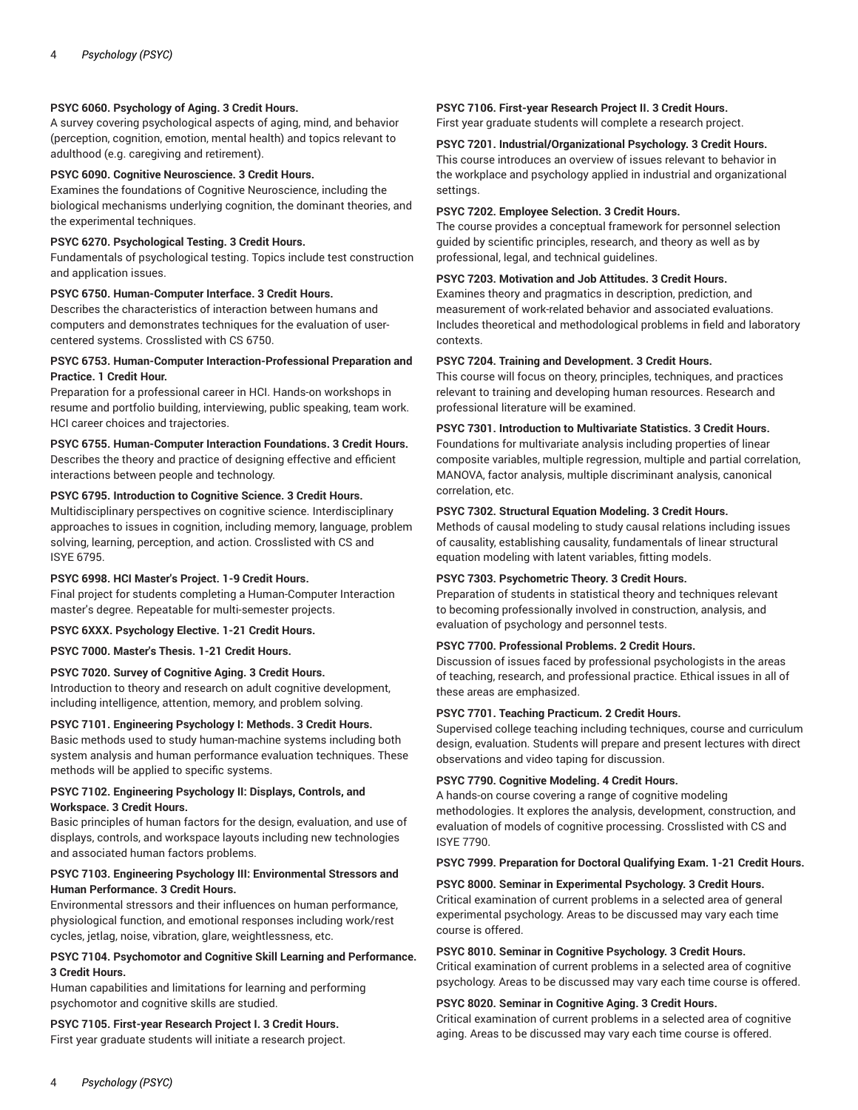# **PSYC 6060. Psychology of Aging. 3 Credit Hours.**

A survey covering psychological aspects of aging, mind, and behavior (perception, cognition, emotion, mental health) and topics relevant to adulthood (e.g. caregiving and retirement).

## **PSYC 6090. Cognitive Neuroscience. 3 Credit Hours.**

Examines the foundations of Cognitive Neuroscience, including the biological mechanisms underlying cognition, the dominant theories, and the experimental techniques.

#### **PSYC 6270. Psychological Testing. 3 Credit Hours.**

Fundamentals of psychological testing. Topics include test construction and application issues.

#### **PSYC 6750. Human-Computer Interface. 3 Credit Hours.**

Describes the characteristics of interaction between humans and computers and demonstrates techniques for the evaluation of usercentered systems. Crosslisted with CS 6750.

# **PSYC 6753. Human-Computer Interaction-Professional Preparation and Practice. 1 Credit Hour.**

Preparation for a professional career in HCI. Hands-on workshops in resume and portfolio building, interviewing, public speaking, team work. HCI career choices and trajectories.

# **PSYC 6755. Human-Computer Interaction Foundations. 3 Credit Hours.** Describes the theory and practice of designing effective and efficient interactions between people and technology.

#### **PSYC 6795. Introduction to Cognitive Science. 3 Credit Hours.**

Multidisciplinary perspectives on cognitive science. Interdisciplinary approaches to issues in cognition, including memory, language, problem solving, learning, perception, and action. Crosslisted with CS and ISYE 6795.

# **PSYC 6998. HCI Master's Project. 1-9 Credit Hours.**

Final project for students completing a Human-Computer Interaction master's degree. Repeatable for multi-semester projects.

**PSYC 6XXX. Psychology Elective. 1-21 Credit Hours.**

**PSYC 7000. Master's Thesis. 1-21 Credit Hours.**

#### **PSYC 7020. Survey of Cognitive Aging. 3 Credit Hours.**

Introduction to theory and research on adult cognitive development, including intelligence, attention, memory, and problem solving.

#### **PSYC 7101. Engineering Psychology I: Methods. 3 Credit Hours.**

Basic methods used to study human-machine systems including both system analysis and human performance evaluation techniques. These methods will be applied to specific systems.

# **PSYC 7102. Engineering Psychology II: Displays, Controls, and Workspace. 3 Credit Hours.**

Basic principles of human factors for the design, evaluation, and use of displays, controls, and workspace layouts including new technologies and associated human factors problems.

#### **PSYC 7103. Engineering Psychology III: Environmental Stressors and Human Performance. 3 Credit Hours.**

Environmental stressors and their influences on human performance, physiological function, and emotional responses including work/rest cycles, jetlag, noise, vibration, glare, weightlessness, etc.

# **PSYC 7104. Psychomotor and Cognitive Skill Learning and Performance. 3 Credit Hours.**

Human capabilities and limitations for learning and performing psychomotor and cognitive skills are studied.

**PSYC 7105. First-year Research Project I. 3 Credit Hours.** First year graduate students will initiate a research project.

#### **PSYC 7106. First-year Research Project II. 3 Credit Hours.**

First year graduate students will complete a research project.

#### **PSYC 7201. Industrial/Organizational Psychology. 3 Credit Hours.**

This course introduces an overview of issues relevant to behavior in the workplace and psychology applied in industrial and organizational settings.

#### **PSYC 7202. Employee Selection. 3 Credit Hours.**

The course provides a conceptual framework for personnel selection guided by scientific principles, research, and theory as well as by professional, legal, and technical guidelines.

# **PSYC 7203. Motivation and Job Attitudes. 3 Credit Hours.**

Examines theory and pragmatics in description, prediction, and measurement of work-related behavior and associated evaluations. Includes theoretical and methodological problems in field and laboratory contexts.

#### **PSYC 7204. Training and Development. 3 Credit Hours.**

This course will focus on theory, principles, techniques, and practices relevant to training and developing human resources. Research and professional literature will be examined.

**PSYC 7301. Introduction to Multivariate Statistics. 3 Credit Hours.**

Foundations for multivariate analysis including properties of linear composite variables, multiple regression, multiple and partial correlation, MANOVA, factor analysis, multiple discriminant analysis, canonical correlation, etc.

#### **PSYC 7302. Structural Equation Modeling. 3 Credit Hours.**

Methods of causal modeling to study causal relations including issues of causality, establishing causality, fundamentals of linear structural equation modeling with latent variables, fitting models.

# **PSYC 7303. Psychometric Theory. 3 Credit Hours.**

Preparation of students in statistical theory and techniques relevant to becoming professionally involved in construction, analysis, and evaluation of psychology and personnel tests.

#### **PSYC 7700. Professional Problems. 2 Credit Hours.**

Discussion of issues faced by professional psychologists in the areas of teaching, research, and professional practice. Ethical issues in all of these areas are emphasized.

#### **PSYC 7701. Teaching Practicum. 2 Credit Hours.**

Supervised college teaching including techniques, course and curriculum design, evaluation. Students will prepare and present lectures with direct observations and video taping for discussion.

#### **PSYC 7790. Cognitive Modeling. 4 Credit Hours.**

A hands-on course covering a range of cognitive modeling methodologies. It explores the analysis, development, construction, and evaluation of models of cognitive processing. Crosslisted with CS and ISYE 7790.

#### **PSYC 7999. Preparation for Doctoral Qualifying Exam. 1-21 Credit Hours.**

#### **PSYC 8000. Seminar in Experimental Psychology. 3 Credit Hours.**

Critical examination of current problems in a selected area of general experimental psychology. Areas to be discussed may vary each time course is offered.

#### **PSYC 8010. Seminar in Cognitive Psychology. 3 Credit Hours.**

Critical examination of current problems in a selected area of cognitive psychology. Areas to be discussed may vary each time course is offered.

#### **PSYC 8020. Seminar in Cognitive Aging. 3 Credit Hours.**

Critical examination of current problems in a selected area of cognitive aging. Areas to be discussed may vary each time course is offered.